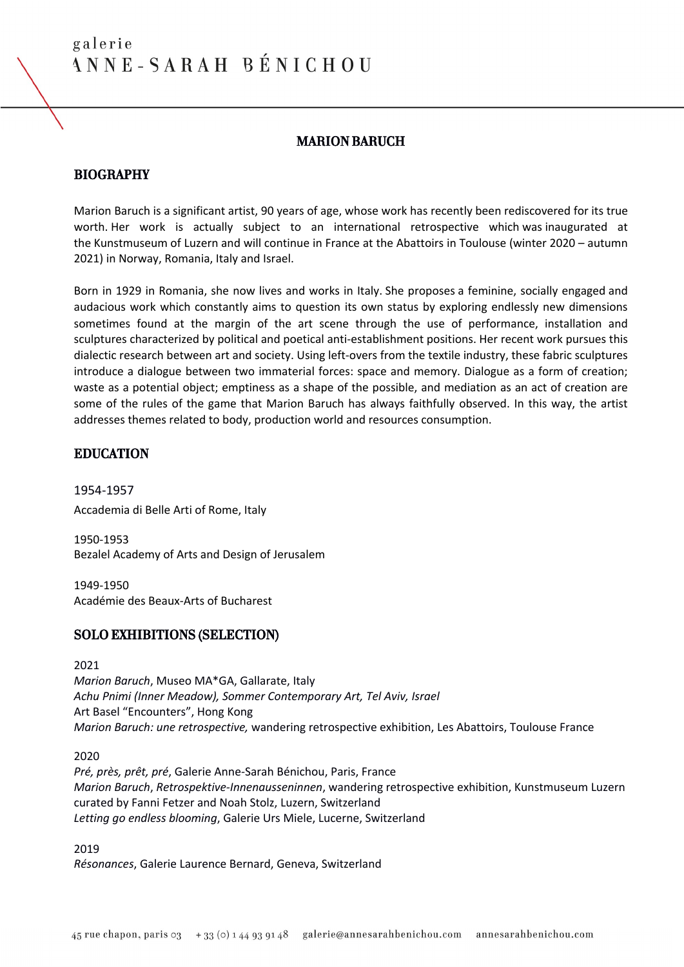# MARION BARUCH

# **BIOGRAPHY**

Marion Baruch is a significant artist, 90 years of age, whose work has recently been rediscovered for its true worth. Her work is actually subject to an international retrospective which was inaugurated at the Kunstmuseum of Luzern and will continue in France at the Abattoirs in Toulouse (winter 2020 – autumn 2021) in Norway, Romania, Italy and Israel.

Born in 1929 in Romania, she now lives and works in Italy. She proposes a feminine, socially engaged and audacious work which constantly aims to question its own status by exploring endlessly new dimensions sometimes found at the margin of the art scene through the use of performance, installation and sculptures characterized by political and poetical anti-establishment positions. Her recent work pursues this dialectic research between art and society. Using left-overs from the textile industry, these fabric sculptures introduce a dialogue between two immaterial forces: space and memory. Dialogue as a form of creation; waste as a potential object; emptiness as a shape of the possible, and mediation as an act of creation are some of the rules of the game that Marion Baruch has always faithfully observed. In this way, the artist addresses themes related to body, production world and resources consumption.

# EDUCATION

1954-1957 Accademia di Belle Arti of Rome, Italy

1950-1953 Bezalel Academy of Arts and Design of Jerusalem

1949-1950 Académie des Beaux-Arts of Bucharest

# SOLO EXHIBITIONS (SELECTION)

2021

*Marion Baruch*, Museo MA\*GA, Gallarate, Italy *Achu Pnimi (Inner Meadow), Sommer Contemporary Art, Tel Aviv, Israel* Art Basel "Encounters", Hong Kong *Marion Baruch: une retrospective,* wandering retrospective exhibition, Les Abattoirs, Toulouse France

2020

*Pré, près, prêt, pré*, Galerie Anne-Sarah Bénichou, Paris, France *Marion Baruch*, *Retrospektive-Innenausseninnen*, wandering retrospective exhibition, Kunstmuseum Luzern curated by Fanni Fetzer and Noah Stolz, Luzern, Switzerland *Letting go endless blooming*, Galerie Urs Miele, Lucerne, Switzerland

2019

*Résonances*, Galerie Laurence Bernard, Geneva, Switzerland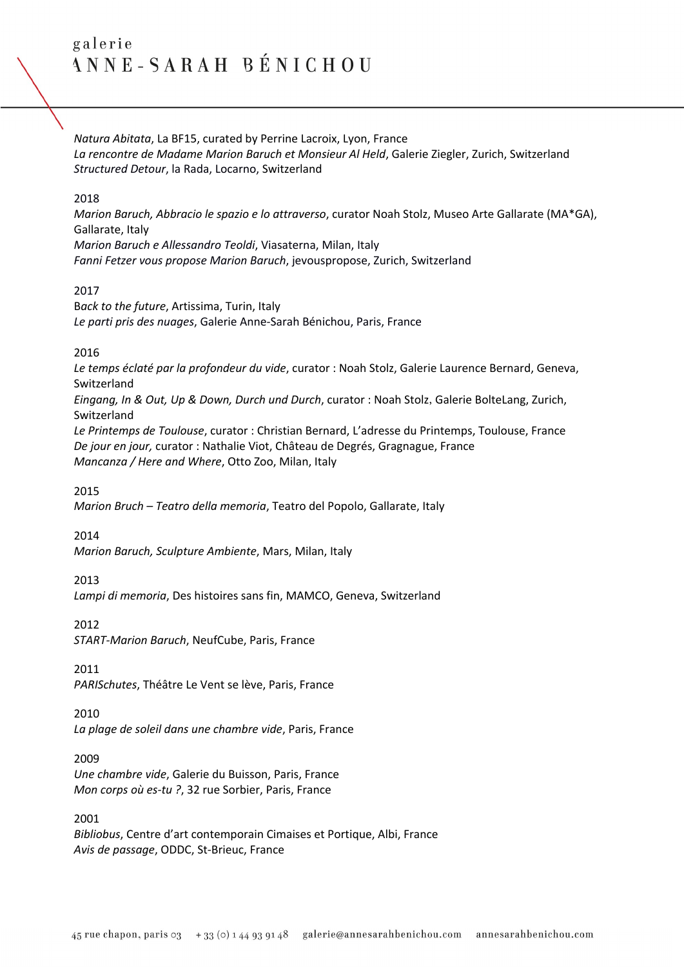*Natura Abitata*, La BF15, curated by Perrine Lacroix, Lyon, France *La rencontre de Madame Marion Baruch et Monsieur Al Held*, Galerie Ziegler, Zurich, Switzerland *Structured Detour*, la Rada, Locarno, Switzerland

#### 2018

*Marion Baruch, Abbracio le spazio e lo attraverso*, curator Noah Stolz, Museo Arte Gallarate (MA\*GA), Gallarate, Italy *Marion Baruch e Allessandro Teoldi*, Viasaterna, Milan, Italy

*Fanni Fetzer vous propose Marion Baruch*, jevouspropose, Zurich, Switzerland

### 2017

B*ack to the future*, Artissima, Turin, Italy *Le parti pris des nuages*, Galerie Anne-Sarah Bénichou, Paris, France

### 2016

*Le temps éclaté par la profondeur du vide*, curator : Noah Stolz, Galerie Laurence Bernard, Geneva, Switzerland

*Eingang, In & Out, Up & Down, Durch und Durch*, curator : Noah Stolz,Galerie BolteLang, Zurich, Switzerland

*Le Printemps de Toulouse*, curator : Christian Bernard, L'adresse du Printemps, Toulouse, France *De jour en jour,* curator : Nathalie Viot, Château de Degrés, Gragnague, France *Mancanza / Here and Where*, Otto Zoo, Milan, Italy

2015

*Marion Bruch – Teatro della memoria*, Teatro del Popolo, Gallarate, Italy

2014

*Marion Baruch, Sculpture Ambiente*, Mars, Milan, Italy

# 2013

*Lampi di memoria*, Des histoires sans fin, MAMCO, Geneva, Switzerland

2012

*START-Marion Baruch*, NeufCube, Paris, France

#### 2011

*PARISchutes*, Théâtre Le Vent se lève, Paris, France

#### 2010

*La plage de soleil dans une chambre vide*, Paris, France

#### 2009

*Une chambre vide*, Galerie du Buisson, Paris, France *Mon corps où es-tu ?*, 32 rue Sorbier, Paris, France

# 2001

*Bibliobus*, Centre d'art contemporain Cimaises et Portique, Albi, France *Avis de passage*, ODDC, St-Brieuc, France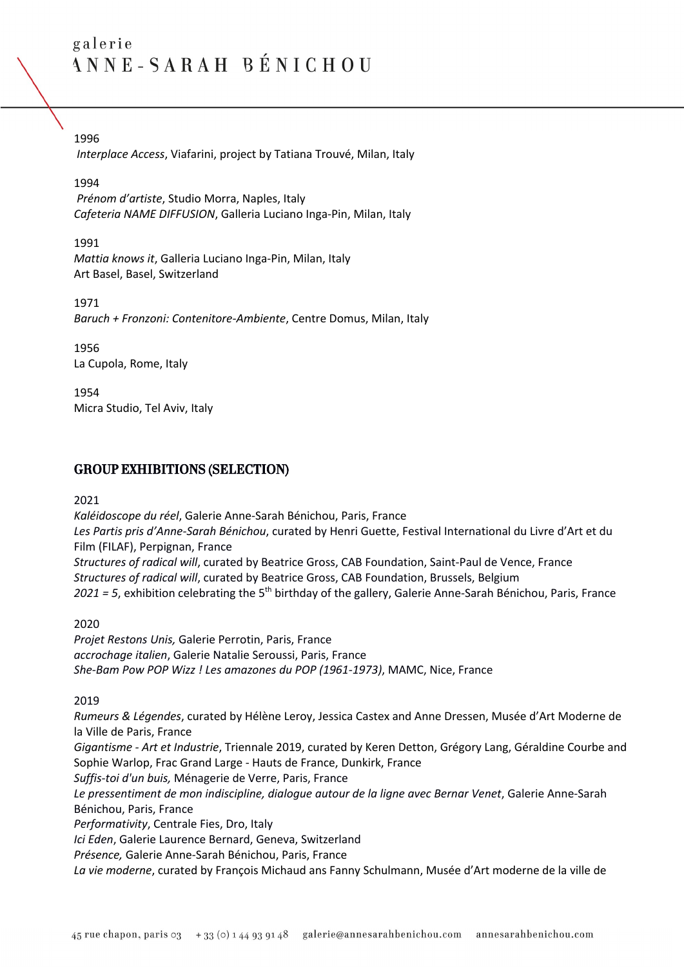# 1996

*Interplace Access*, Viafarini, project by Tatiana Trouvé, Milan, Italy

### 1994

*Prénom d'artiste*, Studio Morra, Naples, Italy *Cafeteria NAME DIFFUSION*, Galleria Luciano Inga-Pin, Milan, Italy

1991 *Mattia knows it*, Galleria Luciano Inga-Pin, Milan, Italy Art Basel, Basel, Switzerland

1971 *Baruch + Fronzoni: Contenitore-Ambiente*, Centre Domus, Milan, Italy

1956 La Cupola, Rome, Italy

1954 Micra Studio, Tel Aviv, Italy

# GROUP EXHIBITIONS (SELECTION)

2021

*Kaléidoscope du réel*, Galerie Anne-Sarah Bénichou, Paris, France *Les Partis pris d'Anne-Sarah Bénichou*, curated by Henri Guette, Festival International du Livre d'Art et du Film (FILAF), Perpignan, France *Structures of radical will*, curated by Beatrice Gross, CAB Foundation, Saint-Paul de Vence, France *Structures of radical will*, curated by Beatrice Gross, CAB Foundation, Brussels, Belgium *2021 = 5*, exhibition celebrating the 5th birthday of the gallery, Galerie Anne-Sarah Bénichou, Paris, France

2020

*Projet Restons Unis,* Galerie Perrotin, Paris, France *accrochage italien*, Galerie Natalie Seroussi, Paris, France *She-Bam Pow POP Wizz ! Les amazones du POP (1961-1973)*, MAMC, Nice, France

2019

*Rumeurs & Légendes*, curated by Hélène Leroy, Jessica Castex and Anne Dressen, Musée d'Art Moderne de la Ville de Paris, France

*Gigantisme - Art et Industrie*, Triennale 2019, curated by Keren Detton, Grégory Lang, Géraldine Courbe and Sophie Warlop, Frac Grand Large - Hauts de France, Dunkirk, France

*Suffis-toi d'un buis,* Ménagerie de Verre, Paris, France

*Le pressentiment de mon indiscipline, dialogue autour de la ligne avec Bernar Venet*, Galerie Anne-Sarah Bénichou, Paris, France

*Performativity*, Centrale Fies, Dro, Italy

*Ici Eden*, Galerie Laurence Bernard, Geneva, Switzerland

*Présence,* Galerie Anne-Sarah Bénichou, Paris, France

*La vie moderne*, curated by François Michaud ans Fanny Schulmann, Musée d'Art moderne de la ville de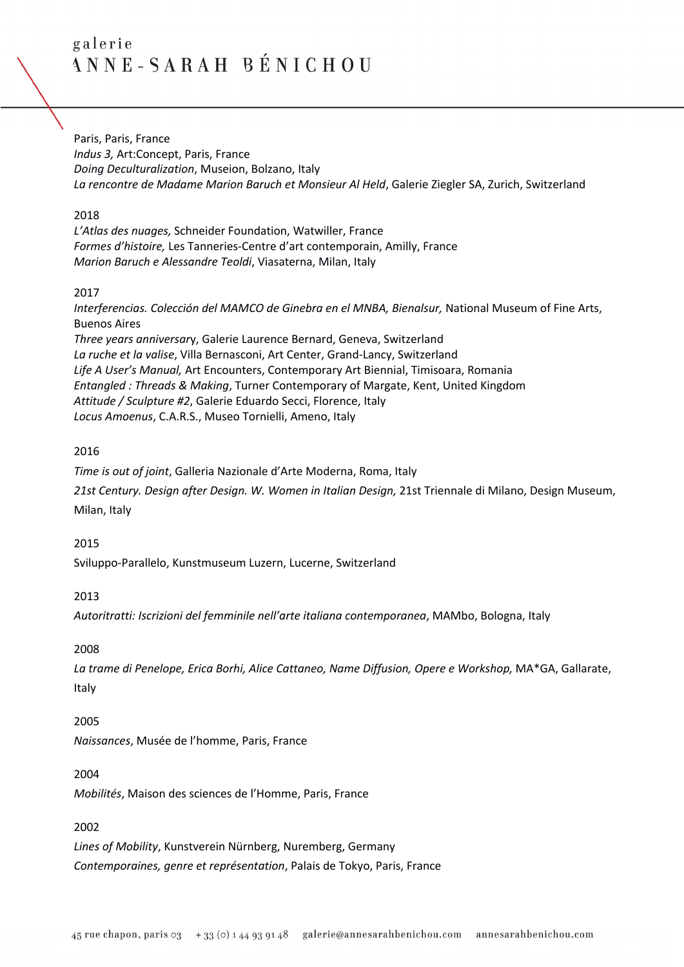Paris, Paris, France *Indus 3,* Art:Concept, Paris, France *Doing Deculturalization*, Museion, Bolzano, Italy *La rencontre de Madame Marion Baruch et Monsieur Al Held*, Galerie Ziegler SA, Zurich, Switzerland

#### 2018

*L'Atlas des nuages,* Schneider Foundation, Watwiller, France *Formes d'histoire,* Les Tanneries-Centre d'art contemporain, Amilly, France *Marion Baruch e Alessandre Teoldi*, Viasaterna, Milan, Italy

### 2017

*Interferencias. Colección del MAMCO de Ginebra en el MNBA, Bienalsur,* National Museum of Fine Arts, Buenos Aires *Three years anniversar*y, Galerie Laurence Bernard, Geneva, Switzerland

*La ruche et la valise*, Villa Bernasconi, Art Center, Grand-Lancy, Switzerland *Life A User's Manual,* Art Encounters, Contemporary Art Biennial, Timisoara, Romania *Entangled : Threads & Making*, Turner Contemporary of Margate, Kent, United Kingdom *Attitude / Sculpture #2*, Galerie Eduardo Secci, Florence, Italy *Locus Amoenus*, C.A.R.S., Museo Tornielli, Ameno, Italy

# 2016

*Time is out of joint*, Galleria Nazionale d'Arte Moderna, Roma, Italy *21st Century. Design after Design. W. Women in Italian Design,* 21st Triennale di Milano, Design Museum, Milan, Italy

# 2015

Sviluppo-Parallelo, Kunstmuseum Luzern, Lucerne, Switzerland

# 2013

*Autoritratti: Iscrizioni del femminile nell'arte italiana contemporanea*, MAMbo, Bologna, Italy

#### 2008

*La trame di Penelope, Erica Borhi, Alice Cattaneo, Name Diffusion, Opere e Workshop,* MA\*GA, Gallarate, Italy

#### 2005

*Naissances*, Musée de l'homme, Paris, France

#### 2004

*Mobilités*, Maison des sciences de l'Homme, Paris, France

# 2002

*Lines of Mobility*, Kunstverein Nürnberg, Nuremberg, Germany *Contemporaines, genre et représentation*, Palais de Tokyo, Paris, France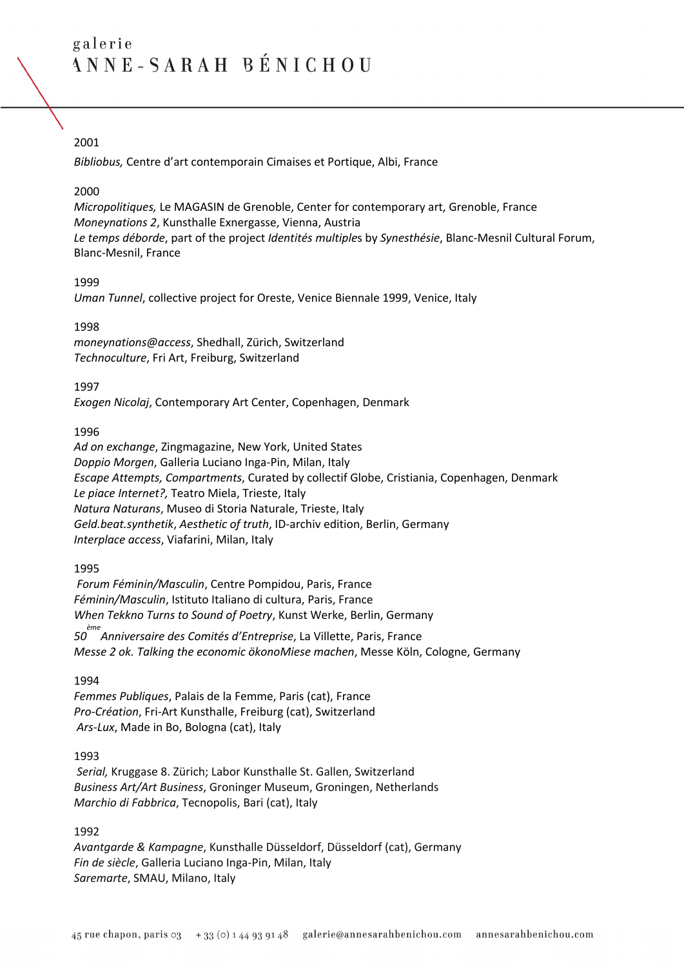# 2001

*Bibliobus,* Centre d'art contemporain Cimaises et Portique, Albi, France

### 2000

*Micropolitiques,* Le MAGASIN de Grenoble, Center for contemporary art, Grenoble, France *Moneynations 2*, Kunsthalle Exnergasse, Vienna, Austria *Le temps déborde*, part of the project *Identités multiple*s by *Synesthésie*, Blanc-Mesnil Cultural Forum, Blanc-Mesnil, France

### 1999

*Uman Tunnel*, collective project for Oreste, Venice Biennale 1999, Venice, Italy

### 1998

*moneynations@access*, Shedhall, Zürich, Switzerland *Technoculture*, Fri Art, Freiburg, Switzerland

### 1997

*Exogen Nicolaj*, Contemporary Art Center, Copenhagen, Denmark

### 1996

*Ad on exchange*, Zingmagazine, New York, United States *Doppio Morgen*, Galleria Luciano Inga-Pin, Milan, Italy *Escape Attempts, Compartments*, Curated by collectif Globe, Cristiania, Copenhagen, Denmark *Le piace Internet?,* Teatro Miela, Trieste, Italy *Natura Naturans*, Museo di Storia Naturale, Trieste, Italy *Geld.beat.synthetik*, *Aesthetic of truth*, ID-archiv edition, Berlin, Germany *Interplace access*, Viafarini, Milan, Italy

# 1995

*Forum Féminin/Masculin*, Centre Pompidou, Paris, France *Féminin/Masculin*, Istituto Italiano di cultura, Paris, France *When Tekkno Turns to Sound of Poetry*, Kunst Werke, Berlin, Germany

*50 ème Anniversaire des Comités d'Entreprise*, La Villette, Paris, France *Messe 2 ok. Talking the economic ökonoMiese machen*, Messe Köln, Cologne, Germany

# 1994

*Femmes Publiques*, Palais de la Femme, Paris (cat), France *Pro-Création*, Fri-Art Kunsthalle, Freiburg (cat), Switzerland *Ars-Lux*, Made in Bo, Bologna (cat), Italy

# 1993

*Serial,* Kruggase 8. Zürich; Labor Kunsthalle St. Gallen, Switzerland *Business Art/Art Business*, Groninger Museum, Groningen, Netherlands *Marchio di Fabbrica*, Tecnopolis, Bari (cat), Italy

# 1992

*Avantgarde & Kampagne*, Kunsthalle Düsseldorf, Düsseldorf (cat), Germany *Fin de siècle*, Galleria Luciano Inga-Pin, Milan, Italy *Saremarte*, SMAU, Milano, Italy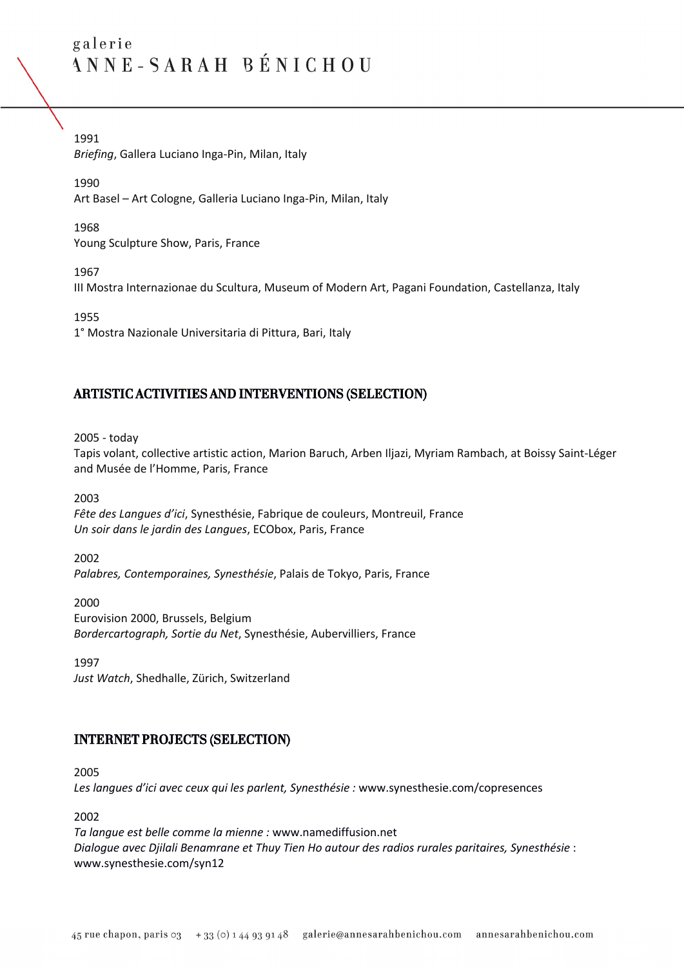1991 *Briefing*, Gallera Luciano Inga-Pin, Milan, Italy

1990 Art Basel – Art Cologne, Galleria Luciano Inga-Pin, Milan, Italy

1968 Young Sculpture Show, Paris, France

1967

III Mostra Internazionae du Scultura, Museum of Modern Art, Pagani Foundation, Castellanza, Italy

1955

1° Mostra Nazionale Universitaria di Pittura, Bari, Italy

# ARTISTIC ACTIVITIES AND INTERVENTIONS (SELECTION)

2005 - today

Tapis volant, collective artistic action, Marion Baruch, Arben Iljazi, Myriam Rambach, at Boissy Saint-Léger and Musée de l'Homme, Paris, France

2003

*Fête des Langues d'ici*, Synesthésie, Fabrique de couleurs, Montreuil, France *Un soir dans le jardin des Langues*, ECObox, Paris, France

2002

*Palabres, Contemporaines, Synesthésie*, Palais de Tokyo, Paris, France

2000 Eurovision 2000, Brussels, Belgium *Bordercartograph, Sortie du Net*, Synesthésie, Aubervilliers, France

1997

*Just Watch*, Shedhalle, Zürich, Switzerland

# INTERNET PROJECTS (SELECTION)

2005

*Les langues d'ici avec ceux qui les parlent, Synesthésie :* www.synesthesie.com/copresences

2002

*Ta langue est belle comme la mienne :* www.namediffusion.net *Dialogue avec Djilali Benamrane et Thuy Tien Ho autour des radios rurales paritaires, Synesthésie* : www.synesthesie.com/syn12